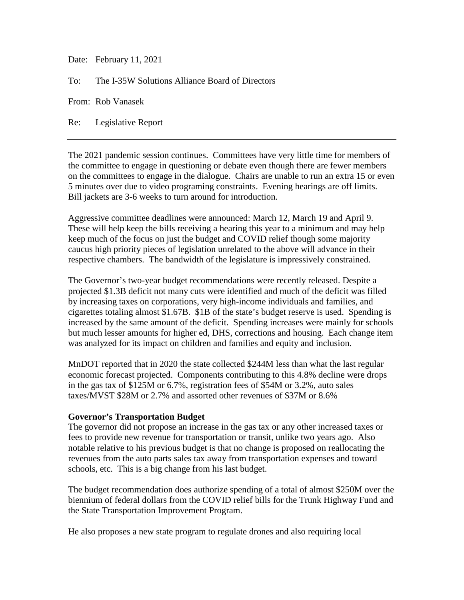Date: February 11, 2021

To: The I-35W Solutions Alliance Board of Directors

From: Rob Vanasek

Re: Legislative Report

The 2021 pandemic session continues. Committees have very little time for members of the committee to engage in questioning or debate even though there are fewer members on the committees to engage in the dialogue. Chairs are unable to run an extra 15 or even 5 minutes over due to video programing constraints. Evening hearings are off limits. Bill jackets are 3-6 weeks to turn around for introduction.

Aggressive committee deadlines were announced: March 12, March 19 and April 9. These will help keep the bills receiving a hearing this year to a minimum and may help keep much of the focus on just the budget and COVID relief though some majority caucus high priority pieces of legislation unrelated to the above will advance in their respective chambers. The bandwidth of the legislature is impressively constrained.

The Governor's two-year budget recommendations were recently released. Despite a projected \$1.3B deficit not many cuts were identified and much of the deficit was filled by increasing taxes on corporations, very high-income individuals and families, and cigarettes totaling almost \$1.67B. \$1B of the state's budget reserve is used. Spending is increased by the same amount of the deficit. Spending increases were mainly for schools but much lesser amounts for higher ed, DHS, corrections and housing. Each change item was analyzed for its impact on children and families and equity and inclusion.

MnDOT reported that in 2020 the state collected \$244M less than what the last regular economic forecast projected. Components contributing to this 4.8% decline were drops in the gas tax of \$125M or 6.7%, registration fees of \$54M or 3.2%, auto sales taxes/MVST \$28M or 2.7% and assorted other revenues of \$37M or 8.6%

## **Governor's Transportation Budget**

The governor did not propose an increase in the gas tax or any other increased taxes or fees to provide new revenue for transportation or transit, unlike two years ago. Also notable relative to his previous budget is that no change is proposed on reallocating the revenues from the auto parts sales tax away from transportation expenses and toward schools, etc. This is a big change from his last budget.

The budget recommendation does authorize spending of a total of almost \$250M over the biennium of federal dollars from the COVID relief bills for the Trunk Highway Fund and the State Transportation Improvement Program.

He also proposes a new state program to regulate drones and also requiring local